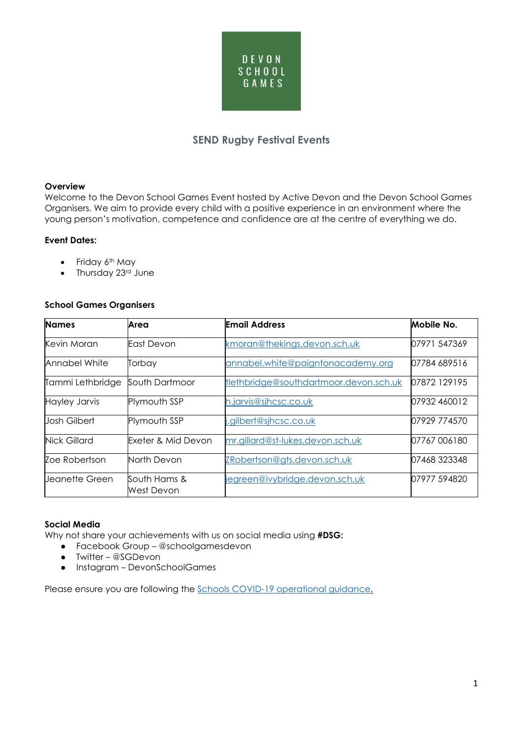

# **SEND Rugby Festival Events**

### **Overview**

Welcome to the Devon School Games Event hosted by Active Devon and the Devon School Games Organisers. We aim to provide every child with a positive experience in an environment where the young person's motivation, competence and confidence are at the centre of everything we do.

# **Event Dates:**

- $\bullet$  Friday  $6<sup>th</sup>$  May
- Thursday 23rd June

### **School Games Organisers**

| <b>Names</b>         | Area                              | <b>Email Address</b>                   | Mobile No.   |
|----------------------|-----------------------------------|----------------------------------------|--------------|
| Kevin Moran          | East Devon                        | kmoran@thekings.devon.sch.uk           | 07971 547369 |
| Annabel White        | Torbay                            | annabel.white@paigntonacademy.org      | 07784 689516 |
| Tammi Lethbridge     | South Dartmoor                    | tlethbridge@southdartmoor.devon.sch.uk | 07872 129195 |
| <b>Hayley Jarvis</b> | Plymouth SSP                      | h.jarvis@sjhcsc.co.uk                  | 07932 460012 |
| <b>Josh Gilbert</b>  | Plymouth SSP                      | i.gilbert@sjhcsc.co.uk                 | 07929 774570 |
| Nick Gillard         | Exeter & Mid Devon                | mr.gillard@st-lukes.devon.sch.uk       | 07767006180  |
| Zoe Robertson        | North Devon                       | ZRobertson@gts.devon.sch.uk            | 07468 323348 |
| Jeanette Green       | South Hams &<br><b>West Devon</b> | jegreen@ivybridge.devon.sch.uk         | 07977 594820 |

### **Social Media**

Why not share your achievements with us on social media using **#DSG:**

- Facebook Group @schoolgamesdevon
- Twitter @SGDevon
- Instagram DevonSchoolGames

Please ensure you are following the [Schools COVID-19 operational guidance.](https://www.gov.uk/government/publications/actions-for-schools-during-the-coronavirus-outbreak/schools-covid-19-operational-guidance)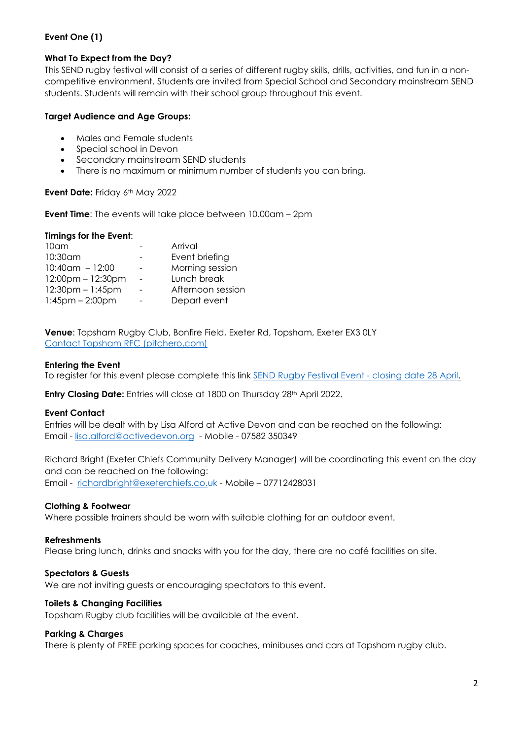# **Event One (1)**

# **What To Expect from the Day?**

This SEND rugby festival will consist of a series of different rugby skills, drills, activities, and fun in a noncompetitive environment. Students are invited from Special School and Secondary mainstream SEND students. Students will remain with their school group throughout this event.

### **Target Audience and Age Groups:**

- Males and Female students
- Special school in Devon
- Secondary mainstream SEND students
- There is no maximum or minimum number of students you can bring.

**Event Date:** Friday 6<sup>th</sup> May 2022

**Event Time**: The events will take place between 10.00am – 2pm

#### **Timings for the Event**:

| 10 <sub>cm</sub>        | Arrival           |
|-------------------------|-------------------|
| 10:30am                 | Event briefing    |
| $10:40$ am $-12:00$     | Morning session   |
| $12:00$ pm – $12:30$ pm | Lunch break       |
| $12:30$ pm – $1:45$ pm  | Afternoon session |
| $1:45$ pm – 2:00pm      | Depart event      |
|                         |                   |

**Venue**: Topsham Rugby Club, Bonfire Field, Exeter Rd, Topsham, Exeter EX3 0LY [Contact Topsham RFC \(pitchero.com\)](https://www.pitchero.com/clubs/topsham/contact)

#### **Entering the Event**

To register for this event please complete this link [SEND Rugby Festival Event -](https://www.surveymonkey.co.uk/r/SENDRugbyEvent) closing date 28 April.

**Entry Closing Date:** Entries will close at 1800 on Thursday 28<sup>th</sup> April 2022.

#### **Event Contact**

Entries will be dealt with by Lisa Alford at Active Devon and can be reached on the following: Email - [lisa.alford@activedevon.org](mailto:lisa.alford@activedevon.org) - Mobile - 07582 350349

Richard Bright (Exeter Chiefs Community Delivery Manager) will be coordinating this event on the day and can be reached on the following: Email - [richardbright@exeterchiefs.co.uk](mailto:richardbright@exeterchiefs.co.uk) - Mobile – 07712428031

#### **Clothing & Footwear**

Where possible trainers should be worn with suitable clothing for an outdoor event.

#### **Refreshments**

Please bring lunch, drinks and snacks with you for the day, there are no café facilities on site.

#### **Spectators & Guests**

We are not inviting guests or encouraging spectators to this event.

#### **Toilets & Changing Facilities**

Topsham Rugby club facilities will be available at the event.

#### **Parking & Charges**

There is plenty of FREE parking spaces for coaches, minibuses and cars at Topsham rugby club.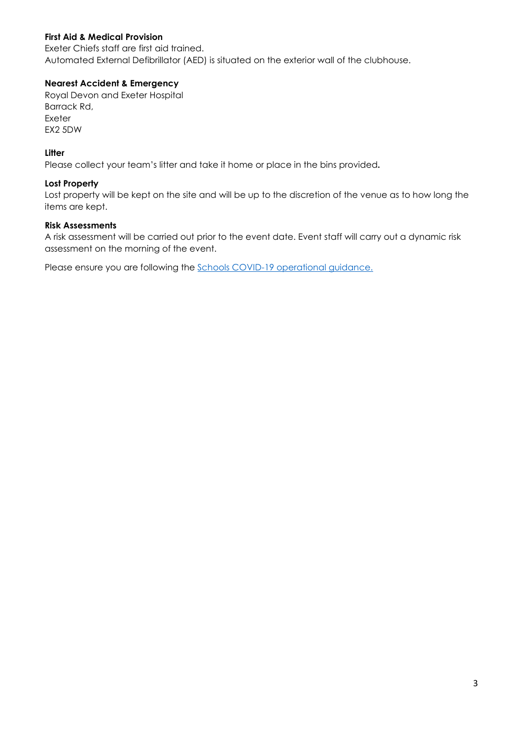# **First Aid & Medical Provision**

Exeter Chiefs staff are first aid trained. Automated External Defibrillator (AED) is situated on the exterior wall of the clubhouse.

# **Nearest Accident & Emergency**

Royal Devon and Exeter Hospital Barrack Rd, Exeter EX2 5DW

# **Litter**

Please collect your team's litter and take it home or place in the bins provided**.**

# **Lost Property**

Lost property will be kept on the site and will be up to the discretion of the venue as to how long the items are kept.

# **Risk Assessments**

A risk assessment will be carried out prior to the event date. Event staff will carry out a dynamic risk assessment on the morning of the event.

Please ensure you are following the [Schools COVID-19 operational guidance.](https://www.gov.uk/government/publications/actions-for-schools-during-the-coronavirus-outbreak/schools-covid-19-operational-guidance)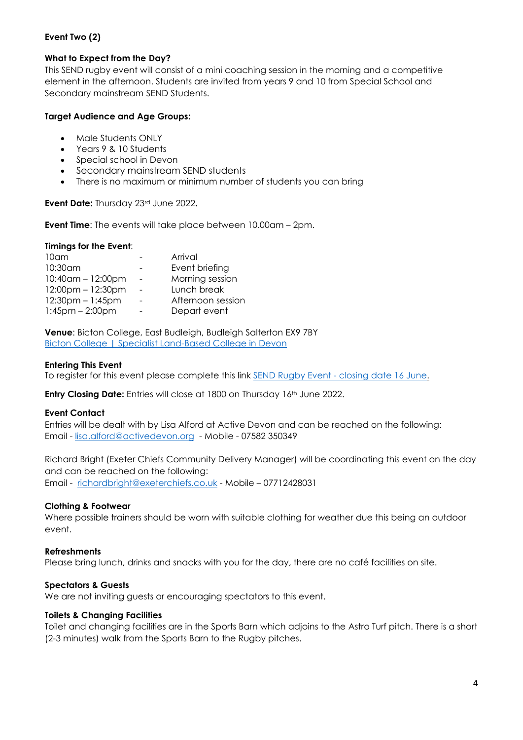# **Event Two (2)**

### **What to Expect from the Day?**

This SEND rugby event will consist of a mini coaching session in the morning and a competitive element in the afternoon. Students are invited from years 9 and 10 from Special School and Secondary mainstream SEND Students.

### **Target Audience and Age Groups:**

- Male Students ONLY
- Years 9 & 10 Students
- Special school in Devon
- Secondary mainstream SEND students
- There is no maximum or minimum number of students you can bring

**Event Date:** Thursday 23rd June 2022**.**

**Event Time**: The events will take place between 10.00am – 2pm.

#### **Timings for the Event**:

| 10am                    | Arrival           |
|-------------------------|-------------------|
| 10:30am                 | Event briefing    |
| $10:40$ am - 12:00pm    | Morning session   |
| $12:00$ pm – $12:30$ pm | Lunch break       |
| $12:30pm - 1:45pm$      | Afternoon session |
| $1:45$ pm – 2:00pm      | Depart event      |

**Venue**: Bicton College, East Budleigh, Budleigh Salterton EX9 7BY [Bicton College | Specialist Land-Based College in Devon](https://www.bicton.ac.uk/)

### **Entering This Event**

To register for this event please complete this link SEND Rugby Event - [closing date 16 June.](https://www.surveymonkey.co.uk/r/SecondaryMainstreamSENDRugby)

**Entry Closing Date:** Entries will close at 1800 on Thursday 16<sup>th</sup> June 2022.

#### **Event Contact**

Entries will be dealt with by Lisa Alford at Active Devon and can be reached on the following: Email - [lisa.alford@activedevon.org](mailto:lisa.alford@activedevon.org) - Mobile - 07582 350349

Richard Bright (Exeter Chiefs Community Delivery Manager) will be coordinating this event on the day and can be reached on the following: Email - [richardbright@exeterchiefs.co.uk](mailto:richardbright@exeterchiefs.co.uk) - Mobile - 07712428031

#### **Clothing & Footwear**

Where possible trainers should be worn with suitable clothing for weather due this being an outdoor event.

#### **Refreshments**

Please bring lunch, drinks and snacks with you for the day, there are no café facilities on site.

# **Spectators & Guests**

We are not inviting guests or encouraging spectators to this event.

### **Toilets & Changing Facilities**

Toilet and changing facilities are in the Sports Barn which adjoins to the Astro Turf pitch. There is a short (2-3 minutes) walk from the Sports Barn to the Rugby pitches.